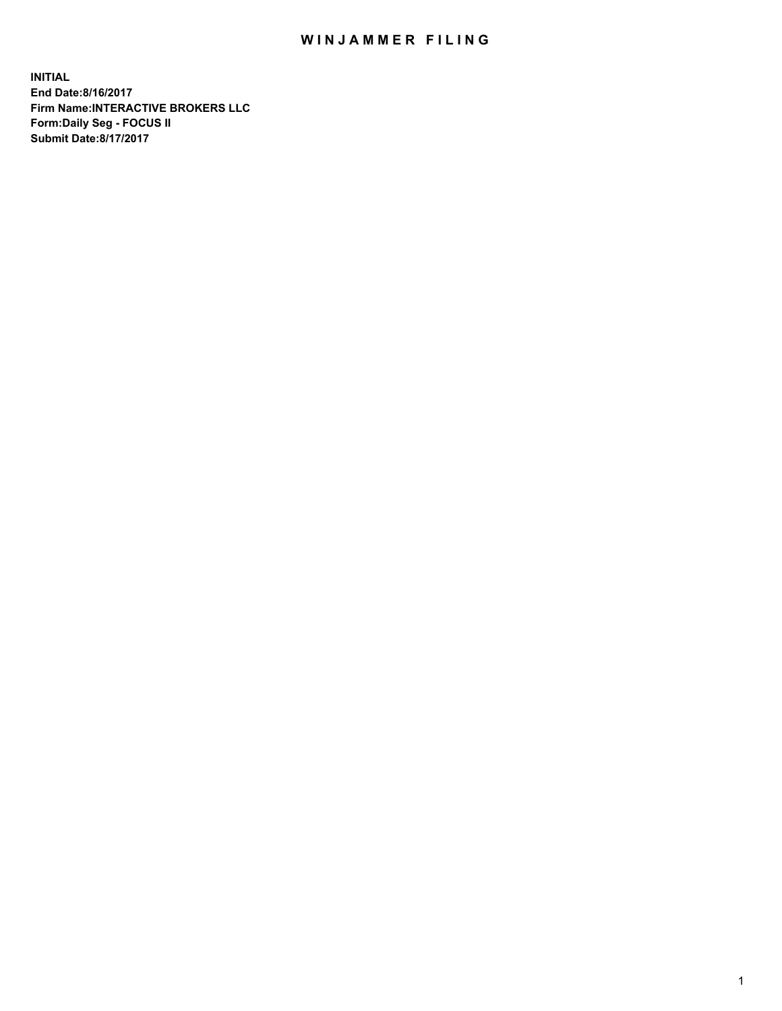## WIN JAMMER FILING

**INITIAL End Date:8/16/2017 Firm Name:INTERACTIVE BROKERS LLC Form:Daily Seg - FOCUS II Submit Date:8/17/2017**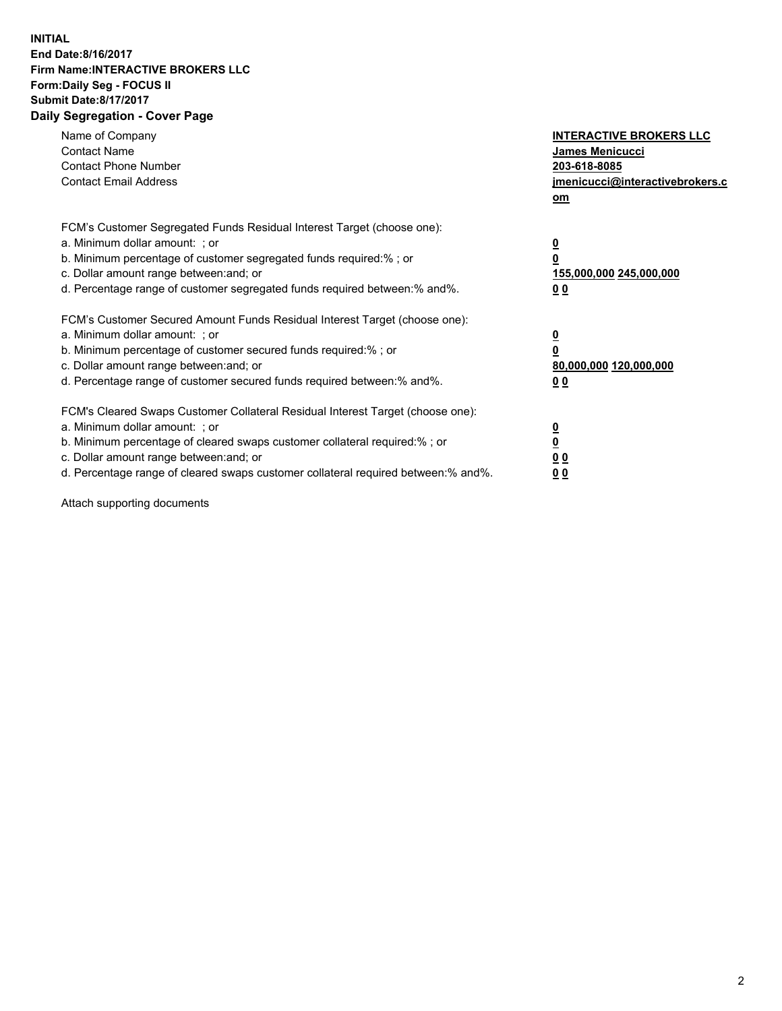## **INITIAL End Date:8/16/2017 Firm Name:INTERACTIVE BROKERS LLC Form:Daily Seg - FOCUS II Submit Date:8/17/2017 Daily Segregation - Cover Page**

| Name of Company<br><b>Contact Name</b><br><b>Contact Phone Number</b><br><b>Contact Email Address</b>                                                                                                                                                                                                                          | <b>INTERACTIVE BROKERS LLC</b><br><b>James Menicucci</b><br>203-618-8085<br>jmenicucci@interactivebrokers.c<br>om |
|--------------------------------------------------------------------------------------------------------------------------------------------------------------------------------------------------------------------------------------------------------------------------------------------------------------------------------|-------------------------------------------------------------------------------------------------------------------|
| FCM's Customer Segregated Funds Residual Interest Target (choose one):<br>a. Minimum dollar amount: ; or<br>b. Minimum percentage of customer segregated funds required:% ; or<br>c. Dollar amount range between: and; or<br>d. Percentage range of customer segregated funds required between: % and %.                       | $\overline{\mathbf{0}}$<br>0<br>155,000,000 245,000,000<br>00                                                     |
| FCM's Customer Secured Amount Funds Residual Interest Target (choose one):<br>a. Minimum dollar amount: ; or<br>b. Minimum percentage of customer secured funds required:%; or<br>c. Dollar amount range between: and; or<br>d. Percentage range of customer secured funds required between: % and %.                          | $\overline{\mathbf{0}}$<br>0<br>80,000,000 120,000,000<br>0 <sub>0</sub>                                          |
| FCM's Cleared Swaps Customer Collateral Residual Interest Target (choose one):<br>a. Minimum dollar amount: ; or<br>b. Minimum percentage of cleared swaps customer collateral required:% ; or<br>c. Dollar amount range between: and; or<br>d. Percentage range of cleared swaps customer collateral required between:% and%. | $\overline{\mathbf{0}}$<br>$\underline{\mathbf{0}}$<br>0 <sub>0</sub><br>0 <sub>0</sub>                           |

Attach supporting documents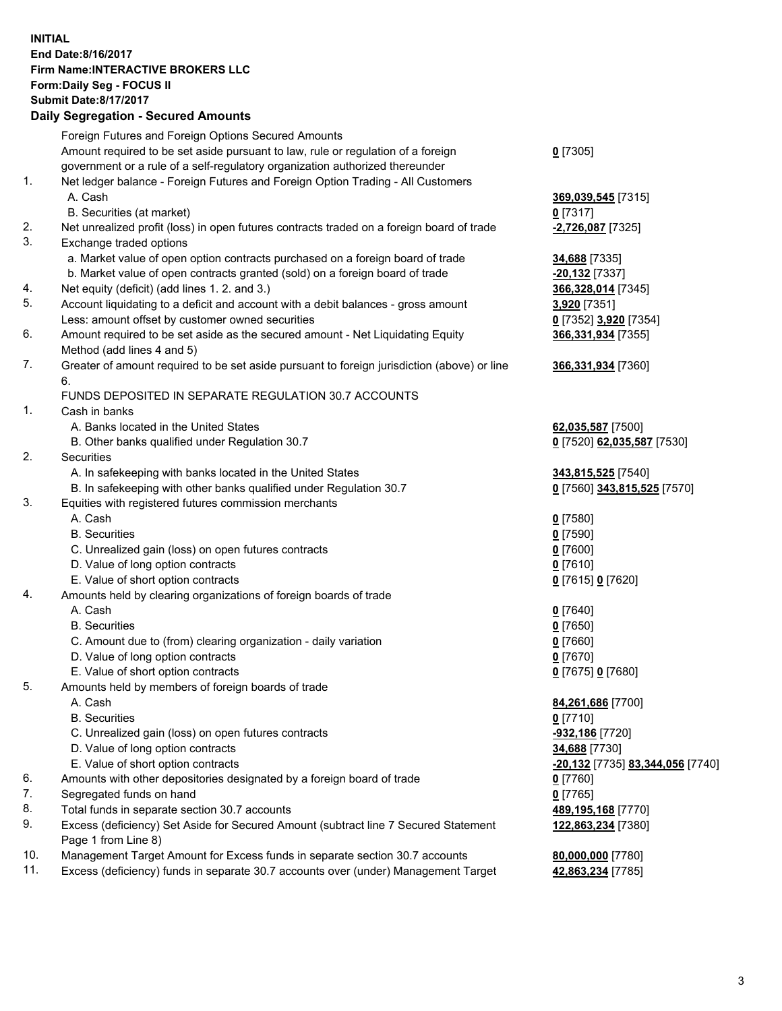## **INITIAL End Date:8/16/2017 Firm Name:INTERACTIVE BROKERS LLC Form:Daily Seg - FOCUS II Submit Date:8/17/2017**

|     | <b>Daily Segregation - Secured Amounts</b>                                                  |                                  |
|-----|---------------------------------------------------------------------------------------------|----------------------------------|
|     | Foreign Futures and Foreign Options Secured Amounts                                         |                                  |
|     | Amount required to be set aside pursuant to law, rule or regulation of a foreign            | $0$ [7305]                       |
|     | government or a rule of a self-regulatory organization authorized thereunder                |                                  |
| 1.  | Net ledger balance - Foreign Futures and Foreign Option Trading - All Customers             |                                  |
|     | A. Cash                                                                                     | 369,039,545 [7315]               |
|     | B. Securities (at market)                                                                   | $0$ [7317]                       |
| 2.  | Net unrealized profit (loss) in open futures contracts traded on a foreign board of trade   | -2,726,087 [7325]                |
| 3.  | Exchange traded options                                                                     |                                  |
|     | a. Market value of open option contracts purchased on a foreign board of trade              | 34,688 [7335]                    |
|     | b. Market value of open contracts granted (sold) on a foreign board of trade                | <mark>-20,132</mark> [7337]      |
| 4.  | Net equity (deficit) (add lines 1.2. and 3.)                                                | 366,328,014 [7345]               |
| 5.  | Account liquidating to a deficit and account with a debit balances - gross amount           | 3,920 [7351]                     |
|     | Less: amount offset by customer owned securities                                            | 0 [7352] 3,920 [7354]            |
| 6.  | Amount required to be set aside as the secured amount - Net Liquidating Equity              | 366,331,934 [7355]               |
|     | Method (add lines 4 and 5)                                                                  |                                  |
| 7.  | Greater of amount required to be set aside pursuant to foreign jurisdiction (above) or line | 366,331,934 [7360]               |
|     | 6.                                                                                          |                                  |
|     | FUNDS DEPOSITED IN SEPARATE REGULATION 30.7 ACCOUNTS                                        |                                  |
| 1.  | Cash in banks                                                                               |                                  |
|     | A. Banks located in the United States                                                       | 62,035,587 [7500]                |
|     | B. Other banks qualified under Regulation 30.7                                              | 0 [7520] 62,035,587 [7530]       |
| 2.  | Securities                                                                                  |                                  |
|     | A. In safekeeping with banks located in the United States                                   | 343,815,525 [7540]               |
|     | B. In safekeeping with other banks qualified under Regulation 30.7                          | 0 [7560] 343,815,525 [7570]      |
| 3.  | Equities with registered futures commission merchants                                       |                                  |
|     | A. Cash                                                                                     | $0$ [7580]                       |
|     | <b>B.</b> Securities                                                                        | <u>0</u> [7590]                  |
|     | C. Unrealized gain (loss) on open futures contracts                                         | 0 [7600]                         |
|     | D. Value of long option contracts                                                           | $0$ [7610]                       |
|     | E. Value of short option contracts                                                          | 0 [7615] 0 [7620]                |
| 4.  | Amounts held by clearing organizations of foreign boards of trade                           |                                  |
|     | A. Cash                                                                                     | $0$ [7640]                       |
|     | <b>B.</b> Securities                                                                        | $0$ [7650]                       |
|     | C. Amount due to (from) clearing organization - daily variation                             | 0 [7660]                         |
|     | D. Value of long option contracts                                                           | $0$ [7670]                       |
|     | E. Value of short option contracts                                                          | 0 [7675] 0 [7680]                |
| 5.  | Amounts held by members of foreign boards of trade                                          |                                  |
|     | A. Cash                                                                                     | 84,261,686 [7700]                |
|     | <b>B.</b> Securities                                                                        | $0$ [7710]                       |
|     | C. Unrealized gain (loss) on open futures contracts                                         | <u>-932,186</u> [7720]           |
|     | D. Value of long option contracts                                                           | 34,688 [7730]                    |
|     | E. Value of short option contracts                                                          | -20,132 [7735] 83,344,056 [7740] |
| 6.  | Amounts with other depositories designated by a foreign board of trade                      | 0 [7760]                         |
| 7.  | Segregated funds on hand                                                                    | $0$ [7765]                       |
| 8.  | Total funds in separate section 30.7 accounts                                               | 489,195,168 [7770]               |
| 9.  | Excess (deficiency) Set Aside for Secured Amount (subtract line 7 Secured Statement         | 122,863,234 [7380]               |
|     | Page 1 from Line 8)                                                                         |                                  |
| 10. | Management Target Amount for Excess funds in separate section 30.7 accounts                 | 80,000,000 [7780]                |
| 11. | Excess (deficiency) funds in separate 30.7 accounts over (under) Management Target          | 42,863,234 [7785]                |
|     |                                                                                             |                                  |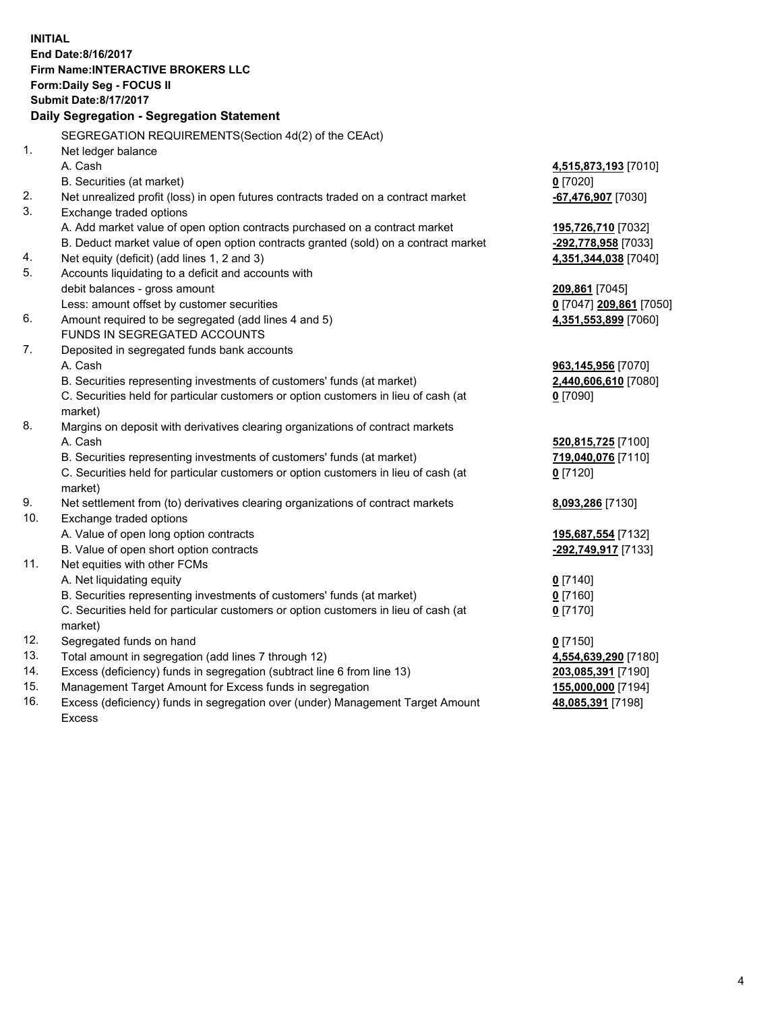**INITIAL End Date:8/16/2017 Firm Name:INTERACTIVE BROKERS LLC Form:Daily Seg - FOCUS II Submit Date:8/17/2017 Daily Segregation - Segregation Statement** SEGREGATION REQUIREMENTS(Section 4d(2) of the CEAct) 1. Net ledger balance A. Cash **4,515,873,193** [7010] B. Securities (at market) **0** [7020] 2. Net unrealized profit (loss) in open futures contracts traded on a contract market **-67,476,907** [7030] 3. Exchange traded options A. Add market value of open option contracts purchased on a contract market **195,726,710** [7032] B. Deduct market value of open option contracts granted (sold) on a contract market **-292,778,958** [7033] 4. Net equity (deficit) (add lines 1, 2 and 3) **4,351,344,038** [7040] 5. Accounts liquidating to a deficit and accounts with debit balances - gross amount **209,861** [7045] Less: amount offset by customer securities **0** [7047] **209,861** [7050] 6. Amount required to be segregated (add lines 4 and 5) **4,351,553,899** [7060] FUNDS IN SEGREGATED ACCOUNTS 7. Deposited in segregated funds bank accounts A. Cash **963,145,956** [7070] B. Securities representing investments of customers' funds (at market) **2,440,606,610** [7080] C. Securities held for particular customers or option customers in lieu of cash (at market) **0** [7090] 8. Margins on deposit with derivatives clearing organizations of contract markets A. Cash **520,815,725** [7100] B. Securities representing investments of customers' funds (at market) **719,040,076** [7110] C. Securities held for particular customers or option customers in lieu of cash (at market) **0** [7120] 9. Net settlement from (to) derivatives clearing organizations of contract markets **8,093,286** [7130] 10. Exchange traded options A. Value of open long option contracts **195,687,554** [7132] B. Value of open short option contracts **-292,749,917** [7133] 11. Net equities with other FCMs A. Net liquidating equity **0** [7140] B. Securities representing investments of customers' funds (at market) **0** [7160] C. Securities held for particular customers or option customers in lieu of cash (at market) **0** [7170] 12. Segregated funds on hand **0** [7150] 13. Total amount in segregation (add lines 7 through 12) **4,554,639,290** [7180] 14. Excess (deficiency) funds in segregation (subtract line 6 from line 13) **203,085,391** [7190] 15. Management Target Amount for Excess funds in segregation **155,000,000** [7194]

16. Excess (deficiency) funds in segregation over (under) Management Target Amount Excess

**48,085,391** [7198]